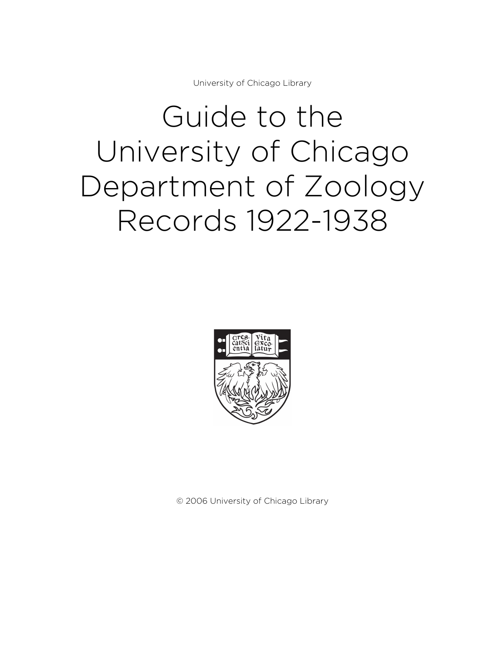University of Chicago Library

# Guide to the University of Chicago Department of Zoology Records 1922-1938



© 2006 University of Chicago Library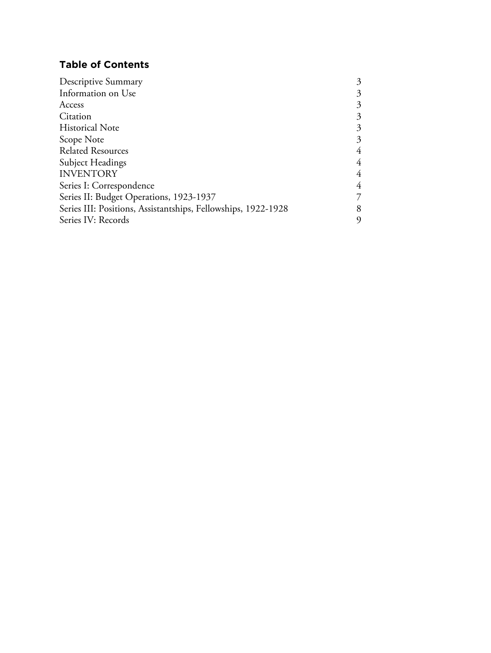# **Table of Contents**

| Descriptive Summary                                           | 3 |
|---------------------------------------------------------------|---|
| Information on Use                                            | 3 |
| Access                                                        | 3 |
| Citation                                                      | 3 |
| <b>Historical Note</b>                                        | 3 |
| Scope Note                                                    | 3 |
| <b>Related Resources</b>                                      | 4 |
| Subject Headings                                              | 4 |
| <b>INVENTORY</b>                                              | 4 |
| Series I: Correspondence                                      | 4 |
| Series II: Budget Operations, 1923-1937                       | 7 |
| Series III: Positions, Assistantships, Fellowships, 1922-1928 | 8 |
| Series IV: Records                                            |   |
|                                                               |   |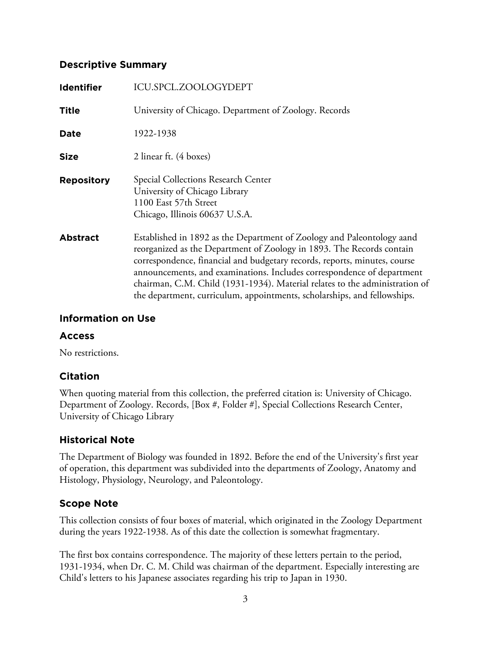# **Descriptive Summary**

| <b>Identifier</b> | ICU.SPCL.ZOOLOGYDEPT                                                                                                                                                                                                                                                                                                                                                                                                                                              |
|-------------------|-------------------------------------------------------------------------------------------------------------------------------------------------------------------------------------------------------------------------------------------------------------------------------------------------------------------------------------------------------------------------------------------------------------------------------------------------------------------|
| <b>Title</b>      | University of Chicago. Department of Zoology. Records                                                                                                                                                                                                                                                                                                                                                                                                             |
| <b>Date</b>       | 1922-1938                                                                                                                                                                                                                                                                                                                                                                                                                                                         |
| <b>Size</b>       | 2 linear ft. (4 boxes)                                                                                                                                                                                                                                                                                                                                                                                                                                            |
| <b>Repository</b> | Special Collections Research Center<br>University of Chicago Library<br>1100 East 57th Street<br>Chicago, Illinois 60637 U.S.A.                                                                                                                                                                                                                                                                                                                                   |
| <b>Abstract</b>   | Established in 1892 as the Department of Zoology and Paleontology aand<br>reorganized as the Department of Zoology in 1893. The Records contain<br>correspondence, financial and budgetary records, reports, minutes, course<br>announcements, and examinations. Includes correspondence of department<br>chairman, C.M. Child (1931-1934). Material relates to the administration of<br>the department, curriculum, appointments, scholarships, and fellowships. |

# **Information on Use**

# **Access**

No restrictions.

# **Citation**

When quoting material from this collection, the preferred citation is: University of Chicago. Department of Zoology. Records, [Box #, Folder #], Special Collections Research Center, University of Chicago Library

# **Historical Note**

The Department of Biology was founded in 1892. Before the end of the University's first year of operation, this department was subdivided into the departments of Zoology, Anatomy and Histology, Physiology, Neurology, and Paleontology.

# **Scope Note**

This collection consists of four boxes of material, which originated in the Zoology Department during the years 1922-1938. As of this date the collection is somewhat fragmentary.

The first box contains correspondence. The majority of these letters pertain to the period, 1931-1934, when Dr. C. M. Child was chairman of the department. Especially interesting are Child's letters to his Japanese associates regarding his trip to Japan in 1930.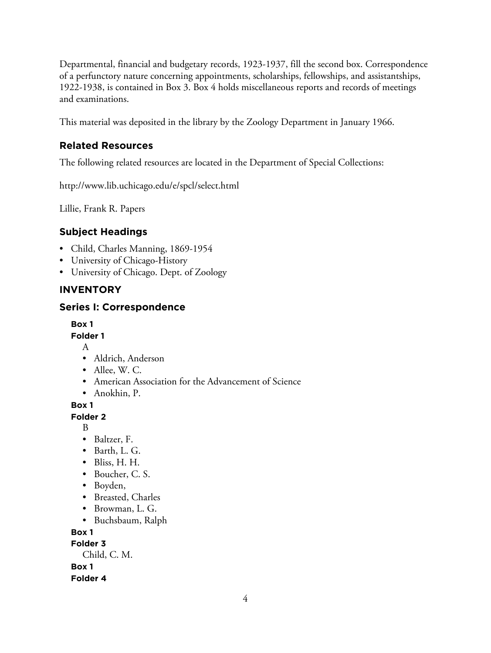Departmental, financial and budgetary records, 1923-1937, fill the second box. Correspondence of a perfunctory nature concerning appointments, scholarships, fellowships, and assistantships, 1922-1938, is contained in Box 3. Box 4 holds miscellaneous reports and records of meetings and examinations.

This material was deposited in the library by the Zoology Department in January 1966.

# **Related Resources**

The following related resources are located in the Department of Special Collections:

http://www.lib.uchicago.edu/e/spcl/select.html

Lillie, Frank R. Papers

# **Subject Headings**

- Child, Charles Manning, 1869-1954
- University of Chicago-History
- University of Chicago. Dept. of Zoology

# **INVENTORY**

# **Series I: Correspondence**

**Box 1**

**Folder 1**

- A
- Aldrich, Anderson
- Allee, W. C.
- American Association for the Advancement of Science
- Anokhin, P.

**Box 1**

**Folder 2**

B

- Baltzer, F.
- Barth, L. G.
- Bliss, H. H.
- Boucher, C. S.
- Boyden,
- Breasted, Charles
- Browman, L. G.
- Buchsbaum, Ralph

**Box 1**

**Folder 3**

Child, C. M.

**Box 1**

**Folder 4**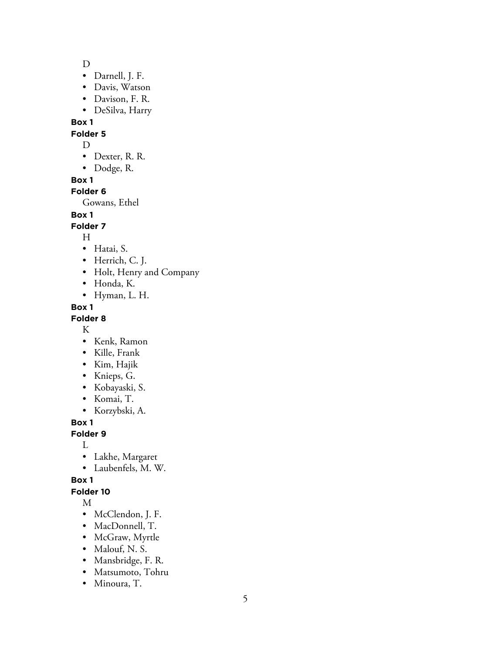D

- Darnell, J. F.
- Davis, Watson
- Davison, F. R.
- DeSilva, Harry

**Box 1**

#### **Folder 5**

D

- Dexter, R. R.
- Dodge, R.

**Box 1**

# **Folder 6**

Gowans, Ethel

# **Box 1**

**Folder 7**

H

- Hatai, S.
- Herrich, C. J.
- Holt, Henry and Company
- Honda, K.
- Hyman, L. H.

**Box 1**

#### **Folder 8**

K

- Kenk, Ramon
- Kille, Frank
- Kim, Hajik
- Knieps, G.
- Kobayaski, S.
- Komai, T.
- Korzybski, A.

**Box 1**

# **Folder 9**

L

- Lakhe, Margaret
- Laubenfels, M. W.

**Box 1**

# **Folder 10**

M

- McClendon, J. F.
- MacDonnell, T.
- McGraw, Myrtle
- Malouf, N. S.
- Mansbridge, F. R.
- Matsumoto, Tohru
- Minoura, T.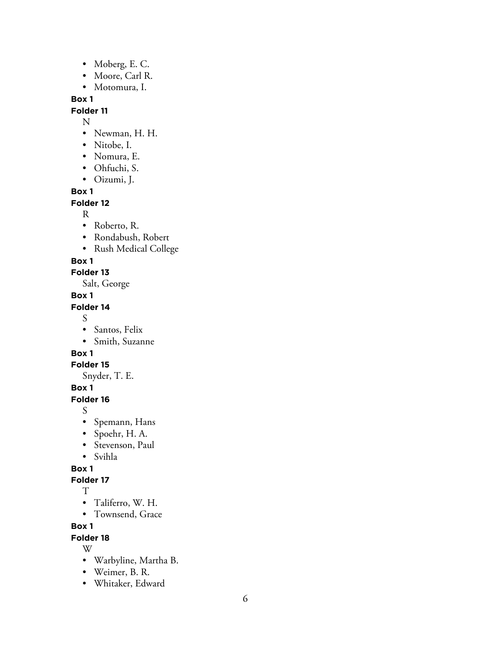- Moberg, E. C.
- Moore, Carl R.
- Motomura, I.

# **Box 1**

# **Folder 11**

- 
- N<br>• Newman, H. H.
- Nitobe, I.
- Nomura, E.
- Ohfuchi, S.
- Oizumi, J.

**Box 1**

#### **Folder 12**

- R• Roberto, R.
- Rondabush, Robert
- Rush Medical College

#### **Box 1**

# **Folder 13**

Salt, George

# **Box 1**

# **Folder 14**

- S• Santos, Felix
- Smith, Suzanne

# **Box 1**

# **Folder 15**

Snyder, T. E.

# **Box 1**

# **Folder 16**

- S• Spemann, Hans
- Spoehr, H. A.
- Stevenson, Paul
- Svihla

# **Box 1**

# **Folder 17**

- T<br>• Taliferro, W. H.
- Townsend, Grace

# **Box 1**

# **Folder 18**

- W• Warbyline, Martha B.
- Weimer, B. R.
- Whitaker, Edward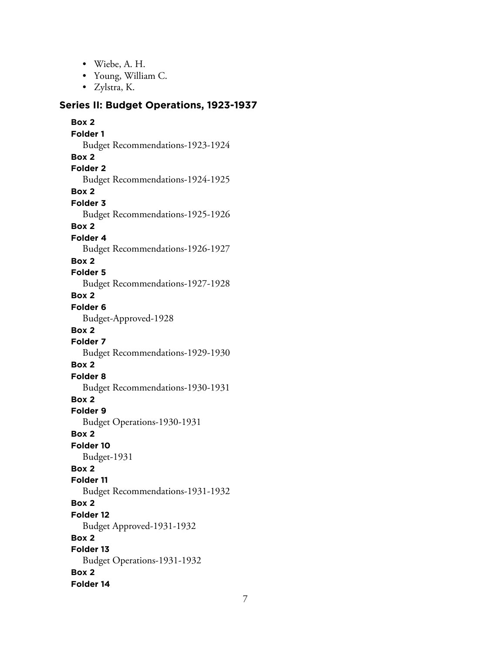- Wiebe, A. H.
- Young, William C.
- Zylstra, K.

#### **Series II: Budget Operations, 1923-1937**

**Box 2 Folder 1** Budget Recommendations-1923-1924 **Box 2 Folder 2** Budget Recommendations-1924-1925 **Box 2 Folder 3** Budget Recommendations-1925-1926 **Box 2 Folder 4** Budget Recommendations-1926-1927 **Box 2 Folder 5** Budget Recommendations-1927-1928 **Box 2 Folder 6** Budget-Approved-1928 **Box 2 Folder 7** Budget Recommendations-1929-1930 **Box 2 Folder 8** Budget Recommendations-1930-1931 **Box 2 Folder 9** Budget Operations-1930-1931 **Box 2 Folder 10** Budget-1931 **Box 2 Folder 11** Budget Recommendations-1931-1932 **Box 2 Folder 12** Budget Approved-1931-1932 **Box 2 Folder 13** Budget Operations-1931-1932 **Box 2 Folder 14**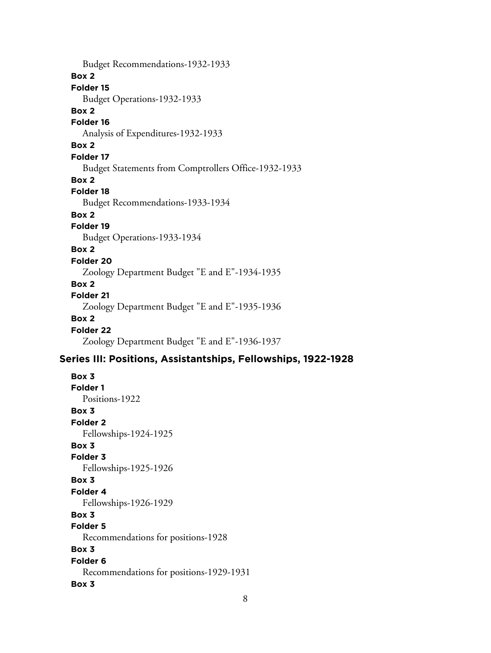Budget Recommendations-1932-1933 **Box 2 Folder 15** Budget Operations-1932-1933 **Box 2 Folder 16** Analysis of Expenditures-1932-1933 **Box 2 Folder 17** Budget Statements from Comptrollers Office-1932-1933 **Box 2 Folder 18** Budget Recommendations-1933-1934 **Box 2 Folder 19** Budget Operations-1933-1934 **Box 2 Folder 20** Zoology Department Budget "E and E"-1934-1935 **Box 2 Folder 21** Zoology Department Budget "E and E"-1935-1936 **Box 2 Folder 22** Zoology Department Budget "E and E"-1936-1937

# **Series III: Positions, Assistantships, Fellowships, 1922-1928**

**Box 3 Folder 1** Positions-1922 **Box 3 Folder 2** Fellowships-1924-1925 **Box 3 Folder 3** Fellowships-1925-1926 **Box 3 Folder 4** Fellowships-1926-1929 **Box 3 Folder 5** Recommendations for positions-1928 **Box 3 Folder 6** Recommendations for positions-1929-1931 **Box 3**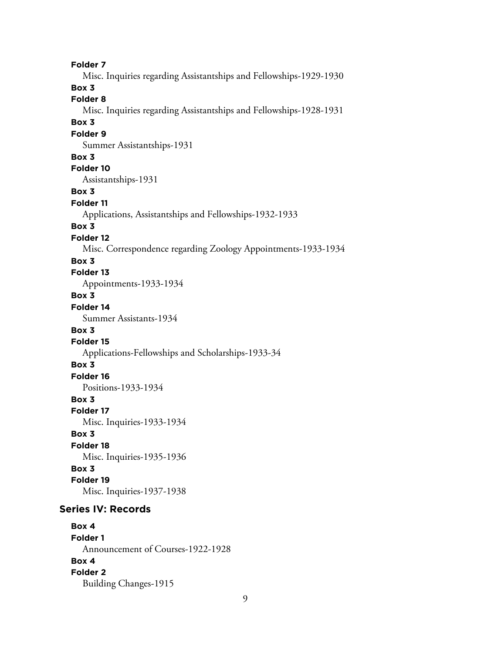**Folder 7** Misc. Inquiries regarding Assistantships and Fellowships-1929-1930 **Box 3 Folder 8** Misc. Inquiries regarding Assistantships and Fellowships-1928-1931 **Box 3 Folder 9** Summer Assistantships-1931 **Box 3 Folder 10** Assistantships-1931 **Box 3 Folder 11** Applications, Assistantships and Fellowships-1932-1933 **Box 3 Folder 12** Misc. Correspondence regarding Zoology Appointments-1933-1934 **Box 3 Folder 13** Appointments-1933-1934 **Box 3 Folder 14** Summer Assistants-1934 **Box 3 Folder 15** Applications-Fellowships and Scholarships-1933-34 **Box 3 Folder 16** Positions-1933-1934 **Box 3 Folder 17** Misc. Inquiries-1933-1934 **Box 3 Folder 18** Misc. Inquiries-1935-1936 **Box 3 Folder 19** Misc. Inquiries-1937-1938 **Series IV: Records Box 4 Folder 1** Announcement of Courses-1922-1928 **Box 4**

**Folder 2**

Building Changes-1915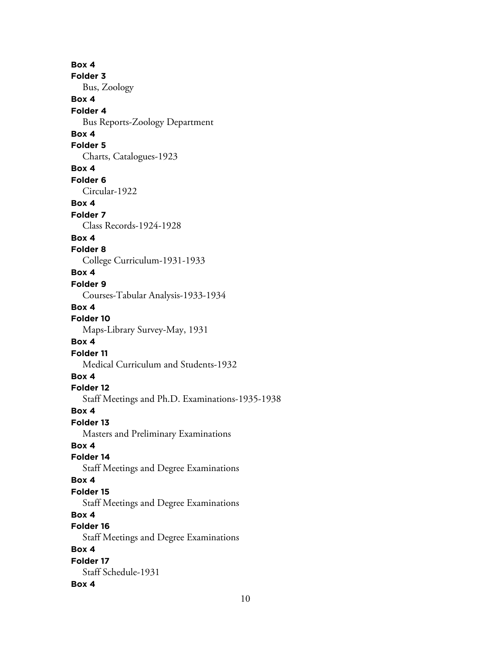**Box 4 Folder 3** Bus, Zoology **Box 4 Folder 4** Bus Reports-Zoology Department **Box 4 Folder 5** Charts, Catalogues-1923 **Box 4 Folder 6** Circular-1922 **Box 4 Folder 7** Class Records-1924-1928 **Box 4 Folder 8** College Curriculum-1931-1933 **Box 4 Folder 9** Courses-Tabular Analysis-1933-1934 **Box 4 Folder 10** Maps-Library Survey-May, 1931 **Box 4 Folder 11** Medical Curriculum and Students-1932 **Box 4 Folder 12** Staff Meetings and Ph.D. Examinations-1935-1938 **Box 4 Folder 13** Masters and Preliminary Examinations **Box 4 Folder 14** Staff Meetings and Degree Examinations **Box 4 Folder 15** Staff Meetings and Degree Examinations **Box 4 Folder 16** Staff Meetings and Degree Examinations **Box 4 Folder 17** Staff Schedule-1931 **Box 4**